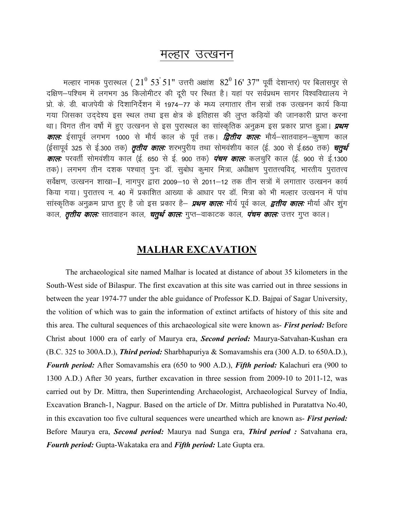## मल्हार उत्खनन

मल्हार नामक पुरास्थल ( $21^0$   $53^{\prime}$ 51" उत्तरी अक्षांश  $~82^0$   $16^{\prime}$   $37$ " पूर्वी देशान्तर) पर बिलासपुर से दक्षिण-पश्चिम में लगभग 35 किलोमीटर की दूरी पर स्थित है। यहां पर सर्वप्रथम सागर विश्वविद्यालय ने प्रो. के. डी. बाजपेयी के दिशानिर्देशन में 1974–77 के मध्य लगातार तीन सत्रों तक उत्खनन कार्य किया गया जिसका उददेश्य इस स्थल तथा इस क्षेत्र के इतिहास की लुप्त कडियों की जानकारी प्राप्त करना था। विगत तीन वर्षो में हुए उत्खनन से इस पुरास्थल का सांस्कृतिक अनुक्रम इस प्रकार प्राप्त हुआ। *प्रथम कालः* ईसापूर्व लगभग 1000 से मौर्य काल के पूर्व तक। *द्वितीय कालः* मौर्य–सातवाहन–कुषाण काल (ईसापूर्व 325 से ई.300 तक) *तृतीय काल:* शरभपूरीय तथा सोमवंशीय काल (ई. 300 से ई.650 तक) *चतुर्थ कालः* परवर्ती सोमवंशीय काल (ई. 650 से ई. 900 तक) *पंचम कालः* कलचुरि काल (ई. 900 से ई.1300 तक)। लगभग तीन दशक पश्चात् पूनः डॉ. सूबोध कूमार मित्रा, अधीक्षण पूरातत्त्वविद्, भारतीय पूरातत्त्व सर्वेक्षण, उत्खनन शाखा-I, नागपुर द्वारा 2009–10 से 2011–12 तक तीन सत्रों में लगातार उत्खनन कार्य किया गया। पुरातत्त्व न. 40 में प्रकाशित आख्या के आधार पर डॉ. मित्रा को भी मल्हार उत्खनन में पांच सांस्कृतिक अनुक्रम प्राप्त हुए है जो इस प्रकार है— *प्रथम कालः* मौर्य पूर्व काल, *द्वतीय कालः* मौर्या और शुंग काल, *तृतीय कालः* **सातवाहन काल,** *चतुर्थ कालः* **गुप्त–वाकाटक काल,** *पंचम कालः* **उत्तर गुप्त काल।** 

## **MALHAR EXCAVATION**

The archaeological site named Malhar is located at distance of about 35 kilometers in the South-West side of Bilaspur. The first excavation at this site was carried out in three sessions in between the year 1974-77 under the able guidance of Professor K.D. Bajpai of Sagar University, the volition of which was to gain the information of extinct artifacts of history of this site and this area. The cultural sequences of this archaeological site were known as- First period: Before Christ about 1000 era of early of Maurya era, Second period: Maurya-Satvahan-Kushan era (B.C. 325 to 300A.D.), *Third period:* Sharbhapuriya & Somavamshis era (300 A.D. to 650A.D.), **Fourth period:** After Somavamshis era (650 to 900 A.D.), Fifth period: Kalachuri era (900 to 1300 A.D.) After 30 years, further excavation in three session from 2009-10 to 2011-12, was carried out by Dr. Mittra, then Superintending Archaeologist, Archaeological Survey of India, Excavation Branch-1, Nagpur. Based on the article of Dr. Mittra published in Puratattva No.40, in this excavation too five cultural sequences were unearthed which are known as- First period: Before Maurya era, Second period: Maurya nad Sunga era, Third period : Satvahana era, Fourth period: Gupta-Wakataka era and Fifth period: Late Gupta era.